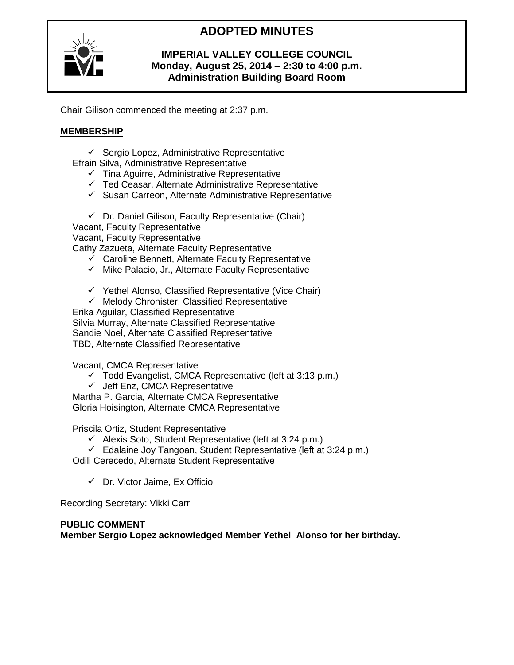# **ADOPTED MINUTES**



### **IMPERIAL VALLEY COLLEGE COUNCIL Monday, August 25, 2014 – 2:30 to 4:00 p.m. Administration Building Board Room**

Chair Gilison commenced the meeting at 2:37 p.m.

### **MEMBERSHIP**

- $\checkmark$  Sergio Lopez, Administrative Representative
- Efrain Silva, Administrative Representative
	- $\checkmark$  Tina Aguirre, Administrative Representative
	- $\checkmark$  Ted Ceasar, Alternate Administrative Representative
	- $\checkmark$  Susan Carreon, Alternate Administrative Representative

 $\checkmark$  Dr. Daniel Gilison, Faculty Representative (Chair)

Vacant, Faculty Representative Vacant, Faculty Representative Cathy Zazueta, Alternate Faculty Representative

- $\checkmark$  Caroline Bennett, Alternate Faculty Representative
- $\checkmark$  Mike Palacio, Jr., Alternate Faculty Representative
- $\checkmark$  Yethel Alonso, Classified Representative (Vice Chair)
- $\checkmark$  Melody Chronister, Classified Representative

Erika Aguilar, Classified Representative Silvia Murray, Alternate Classified Representative Sandie Noel, Alternate Classified Representative TBD, Alternate Classified Representative

Vacant, CMCA Representative

- $\checkmark$  Todd Evangelist, CMCA Representative (left at 3:13 p.m.)
- $\checkmark$  Jeff Enz, CMCA Representative

Martha P. Garcia, Alternate CMCA Representative Gloria Hoisington, Alternate CMCA Representative

Priscila Ortiz, Student Representative

- $\checkmark$  Alexis Soto, Student Representative (left at 3:24 p.m.)
- $\checkmark$  Edalaine Joy Tangoan, Student Representative (left at 3:24 p.m.)

Odili Cerecedo, Alternate Student Representative

 $\checkmark$  Dr. Victor Jaime, Ex Officio

Recording Secretary: Vikki Carr

### **PUBLIC COMMENT**

**Member Sergio Lopez acknowledged Member Yethel Alonso for her birthday.**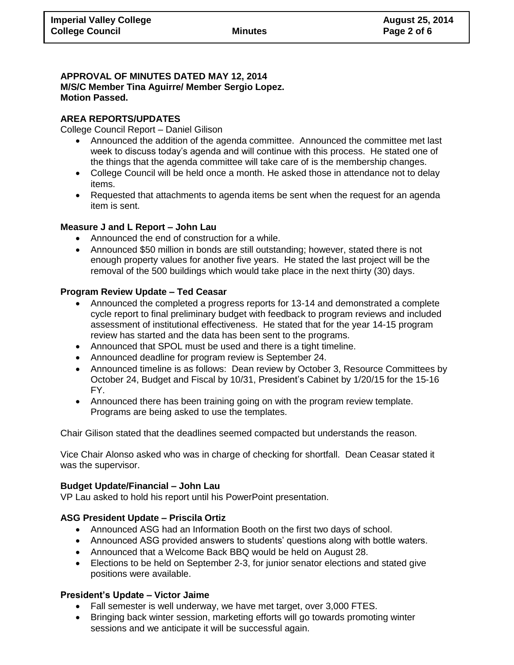### **APPROVAL OF MINUTES DATED MAY 12, 2014 M/S/C Member Tina Aguirre/ Member Sergio Lopez. Motion Passed.**

#### **AREA REPORTS/UPDATES**

College Council Report – Daniel Gilison

- Announced the addition of the agenda committee. Announced the committee met last week to discuss today's agenda and will continue with this process. He stated one of the things that the agenda committee will take care of is the membership changes.
- College Council will be held once a month. He asked those in attendance not to delay items.
- Requested that attachments to agenda items be sent when the request for an agenda item is sent.

#### **Measure J and L Report – John Lau**

- Announced the end of construction for a while.
- Announced \$50 million in bonds are still outstanding; however, stated there is not enough property values for another five years. He stated the last project will be the removal of the 500 buildings which would take place in the next thirty (30) days.

#### **Program Review Update – Ted Ceasar**

- Announced the completed a progress reports for 13-14 and demonstrated a complete cycle report to final preliminary budget with feedback to program reviews and included assessment of institutional effectiveness. He stated that for the year 14-15 program review has started and the data has been sent to the programs.
- Announced that SPOL must be used and there is a tight timeline.
- Announced deadline for program review is September 24.
- Announced timeline is as follows: Dean review by October 3, Resource Committees by October 24, Budget and Fiscal by 10/31, President's Cabinet by 1/20/15 for the 15-16 FY.
- Announced there has been training going on with the program review template. Programs are being asked to use the templates.

Chair Gilison stated that the deadlines seemed compacted but understands the reason.

Vice Chair Alonso asked who was in charge of checking for shortfall. Dean Ceasar stated it was the supervisor.

#### **Budget Update/Financial – John Lau**

VP Lau asked to hold his report until his PowerPoint presentation.

### **ASG President Update – Priscila Ortiz**

- Announced ASG had an Information Booth on the first two days of school.
- Announced ASG provided answers to students' questions along with bottle waters.
- Announced that a Welcome Back BBQ would be held on August 28.
- Elections to be held on September 2-3, for junior senator elections and stated give positions were available.

### **President's Update – Victor Jaime**

- Fall semester is well underway, we have met target, over 3,000 FTES.
- Bringing back winter session, marketing efforts will go towards promoting winter sessions and we anticipate it will be successful again.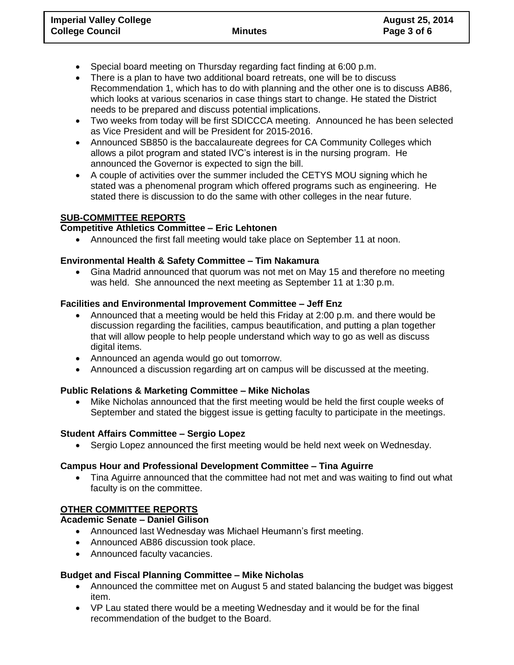- Special board meeting on Thursday regarding fact finding at 6:00 p.m.
- There is a plan to have two additional board retreats, one will be to discuss Recommendation 1, which has to do with planning and the other one is to discuss AB86, which looks at various scenarios in case things start to change. He stated the District needs to be prepared and discuss potential implications.
- Two weeks from today will be first SDICCCA meeting. Announced he has been selected as Vice President and will be President for 2015-2016.
- Announced SB850 is the baccalaureate degrees for CA Community Colleges which allows a pilot program and stated IVC's interest is in the nursing program. He announced the Governor is expected to sign the bill.
- A couple of activities over the summer included the CETYS MOU signing which he stated was a phenomenal program which offered programs such as engineering. He stated there is discussion to do the same with other colleges in the near future.

### **SUB-COMMITTEE REPORTS**

### **Competitive Athletics Committee – Eric Lehtonen**

Announced the first fall meeting would take place on September 11 at noon.

### **Environmental Health & Safety Committee – Tim Nakamura**

 Gina Madrid announced that quorum was not met on May 15 and therefore no meeting was held. She announced the next meeting as September 11 at 1:30 p.m.

### **Facilities and Environmental Improvement Committee – Jeff Enz**

- Announced that a meeting would be held this Friday at 2:00 p.m. and there would be discussion regarding the facilities, campus beautification, and putting a plan together that will allow people to help people understand which way to go as well as discuss digital items.
- Announced an agenda would go out tomorrow.
- Announced a discussion regarding art on campus will be discussed at the meeting.

# **Public Relations & Marketing Committee – Mike Nicholas**

 Mike Nicholas announced that the first meeting would be held the first couple weeks of September and stated the biggest issue is getting faculty to participate in the meetings.

### **Student Affairs Committee – Sergio Lopez**

Sergio Lopez announced the first meeting would be held next week on Wednesday.

### **Campus Hour and Professional Development Committee – Tina Aguirre**

 Tina Aguirre announced that the committee had not met and was waiting to find out what faculty is on the committee.

# **OTHER COMMITTEE REPORTS**

### **Academic Senate – Daniel Gilison**

- Announced last Wednesday was Michael Heumann's first meeting.
- Announced AB86 discussion took place.
- Announced faculty vacancies.

# **Budget and Fiscal Planning Committee – Mike Nicholas**

- Announced the committee met on August 5 and stated balancing the budget was biggest item.
- VP Lau stated there would be a meeting Wednesday and it would be for the final recommendation of the budget to the Board.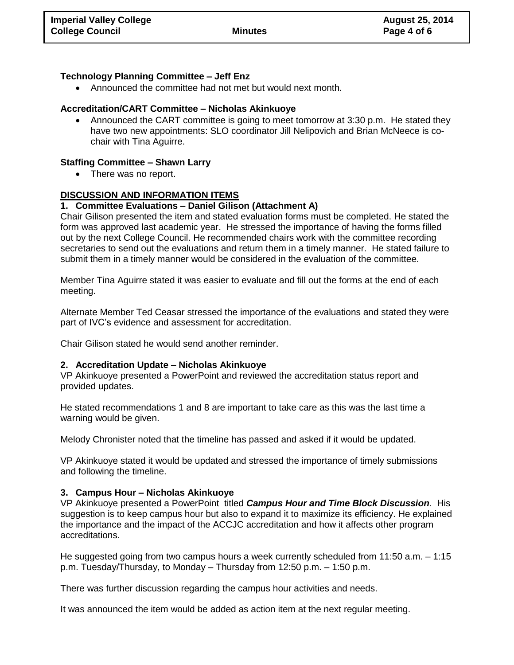### **Technology Planning Committee – Jeff Enz**

Announced the committee had not met but would next month.

### **Accreditation/CART Committee – Nicholas Akinkuoye**

 Announced the CART committee is going to meet tomorrow at 3:30 p.m. He stated they have two new appointments: SLO coordinator Jill Nelipovich and Brian McNeece is cochair with Tina Aguirre.

### **Staffing Committee – Shawn Larry**

• There was no report.

### **DISCUSSION AND INFORMATION ITEMS**

### **1. Committee Evaluations – Daniel Gilison (Attachment A)**

Chair Gilison presented the item and stated evaluation forms must be completed. He stated the form was approved last academic year. He stressed the importance of having the forms filled out by the next College Council. He recommended chairs work with the committee recording secretaries to send out the evaluations and return them in a timely manner. He stated failure to submit them in a timely manner would be considered in the evaluation of the committee.

Member Tina Aguirre stated it was easier to evaluate and fill out the forms at the end of each meeting.

Alternate Member Ted Ceasar stressed the importance of the evaluations and stated they were part of IVC's evidence and assessment for accreditation.

Chair Gilison stated he would send another reminder.

### **2. Accreditation Update – Nicholas Akinkuoye**

VP Akinkuoye presented a PowerPoint and reviewed the accreditation status report and provided updates.

He stated recommendations 1 and 8 are important to take care as this was the last time a warning would be given.

Melody Chronister noted that the timeline has passed and asked if it would be updated.

VP Akinkuoye stated it would be updated and stressed the importance of timely submissions and following the timeline.

### **3. Campus Hour – Nicholas Akinkuoye**

VP Akinkuoye presented a PowerPoint titled *Campus Hour and Time Block Discussion*. His suggestion is to keep campus hour but also to expand it to maximize its efficiency. He explained the importance and the impact of the ACCJC accreditation and how it affects other program accreditations.

He suggested going from two campus hours a week currently scheduled from 11:50 a.m. – 1:15 p.m. Tuesday/Thursday, to Monday – Thursday from 12:50 p.m. – 1:50 p.m.

There was further discussion regarding the campus hour activities and needs.

It was announced the item would be added as action item at the next regular meeting.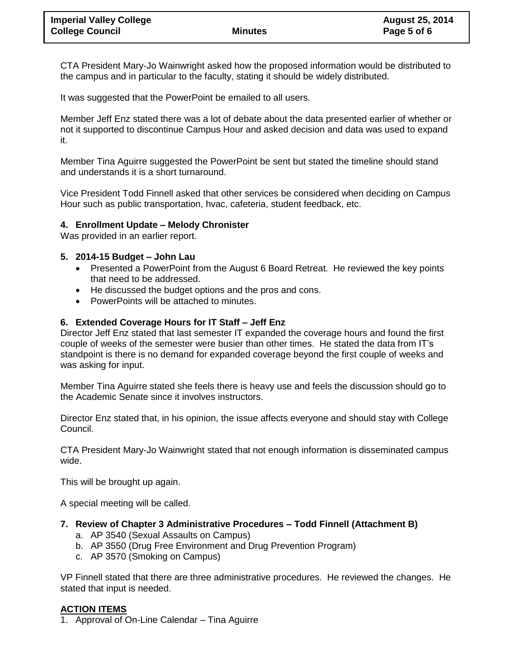CTA President Mary-Jo Wainwright asked how the proposed information would be distributed to the campus and in particular to the faculty, stating it should be widely distributed.

It was suggested that the PowerPoint be emailed to all users.

Member Jeff Enz stated there was a lot of debate about the data presented earlier of whether or not it supported to discontinue Campus Hour and asked decision and data was used to expand it.

Member Tina Aguirre suggested the PowerPoint be sent but stated the timeline should stand and understands it is a short turnaround.

Vice President Todd Finnell asked that other services be considered when deciding on Campus Hour such as public transportation, hvac, cafeteria, student feedback, etc.

### **4. Enrollment Update – Melody Chronister**

Was provided in an earlier report.

### **5. 2014-15 Budget – John Lau**

- Presented a PowerPoint from the August 6 Board Retreat. He reviewed the key points that need to be addressed.
- He discussed the budget options and the pros and cons.
- PowerPoints will be attached to minutes.

### **6. Extended Coverage Hours for IT Staff – Jeff Enz**

Director Jeff Enz stated that last semester IT expanded the coverage hours and found the first couple of weeks of the semester were busier than other times. He stated the data from IT's standpoint is there is no demand for expanded coverage beyond the first couple of weeks and was asking for input.

Member Tina Aguirre stated she feels there is heavy use and feels the discussion should go to the Academic Senate since it involves instructors.

Director Enz stated that, in his opinion, the issue affects everyone and should stay with College Council.

CTA President Mary-Jo Wainwright stated that not enough information is disseminated campus wide.

This will be brought up again.

A special meeting will be called.

### **7. Review of Chapter 3 Administrative Procedures – Todd Finnell (Attachment B)**

- a. AP 3540 (Sexual Assaults on Campus)
- b. AP 3550 (Drug Free Environment and Drug Prevention Program)
- c. AP 3570 (Smoking on Campus)

VP Finnell stated that there are three administrative procedures. He reviewed the changes. He stated that input is needed.

### **ACTION ITEMS**

1. Approval of On-Line Calendar – Tina Aguirre